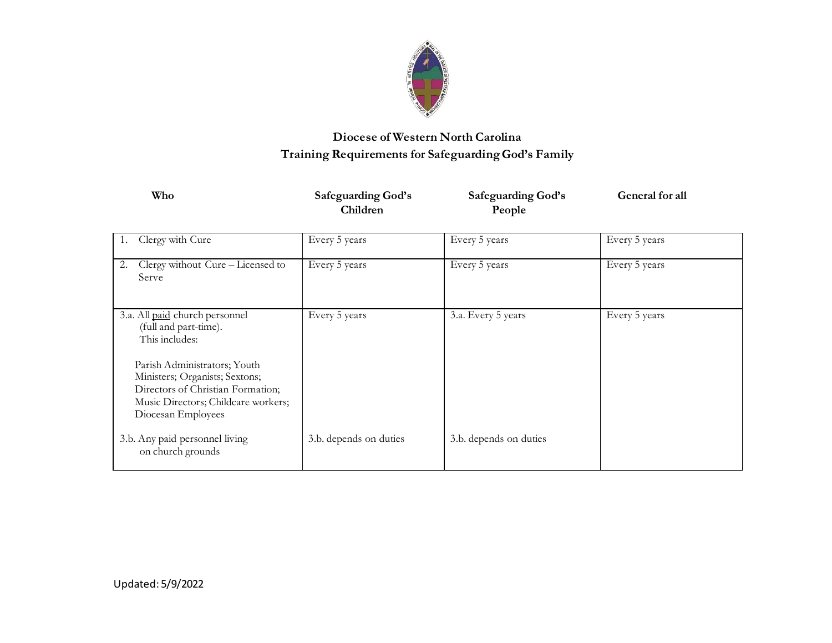

# **Diocese of Western North Carolina Training Requirements for Safeguarding God's Family**

| Who                                                                                                                                                                                                                                           | <b>Safeguarding God's</b><br>Children | <b>Safeguarding God's</b><br>People | General for all |
|-----------------------------------------------------------------------------------------------------------------------------------------------------------------------------------------------------------------------------------------------|---------------------------------------|-------------------------------------|-----------------|
| Clergy with Cure                                                                                                                                                                                                                              | Every 5 years                         | Every 5 years                       | Every 5 years   |
| Clergy without Cure - Licensed to<br>2.<br>Serve                                                                                                                                                                                              | Every 5 years                         | Every 5 years                       | Every 5 years   |
| 3.a. All paid church personnel<br>(full and part-time).<br>This includes:<br>Parish Administrators; Youth<br>Ministers; Organists; Sextons;<br>Directors of Christian Formation;<br>Music Directors; Childcare workers;<br>Diocesan Employees | Every 5 years                         | 3.a. Every 5 years                  | Every 5 years   |
| 3.b. Any paid personnel living<br>on church grounds                                                                                                                                                                                           | 3.b. depends on duties                | 3.b. depends on duties              |                 |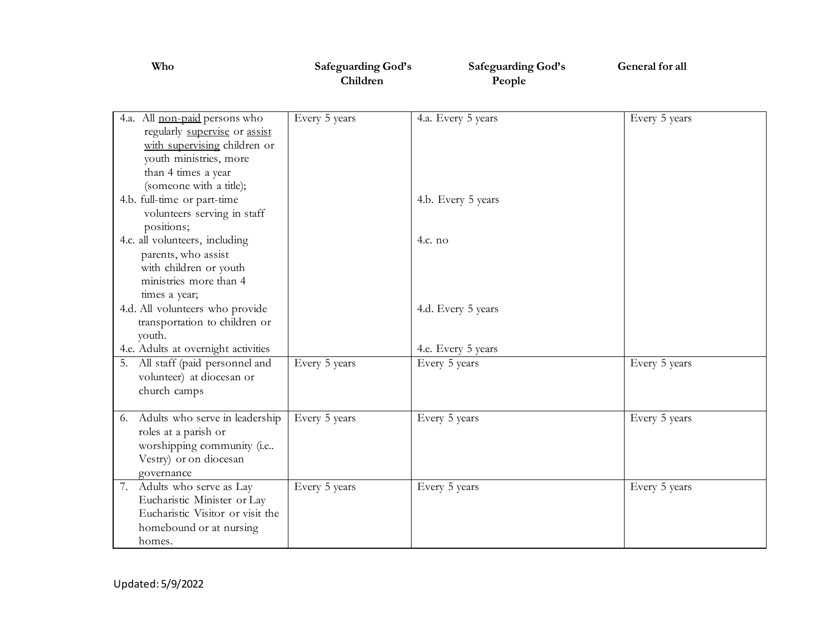| Who                                                                                                                                                                        | Safeguarding God's<br>Children | Safeguarding God's<br>People | General for all |
|----------------------------------------------------------------------------------------------------------------------------------------------------------------------------|--------------------------------|------------------------------|-----------------|
| 4.a. All non-paid persons who<br>regularly supervise or assist<br>with supervising children or<br>youth ministries, more<br>than 4 times a year<br>(someone with a title); | Every 5 years                  | 4.a. Every 5 years           | Every 5 years   |
| 4.b. full-time or part-time<br>volunteers serving in staff<br>positions;                                                                                                   |                                | 4.b. Every 5 years           |                 |
| 4.c. all volunteers, including<br>parents, who assist<br>with children or youth<br>ministries more than 4<br>times a year;                                                 |                                | 4.c. no                      |                 |
| 4.d. All volunteers who provide<br>transportation to children or<br>youth.                                                                                                 |                                | 4.d. Every 5 years           |                 |
| 4.e. Adults at overnight activities                                                                                                                                        |                                | 4.e. Every 5 years           |                 |
| All staff (paid personnel and<br>5.<br>volunteer) at diocesan or<br>church camps                                                                                           | Every 5 years                  | Every 5 years                | Every 5 years   |
| Adults who serve in leadership<br>6.<br>roles at a parish or<br>worshipping community (i.e<br>Vestry) or on diocesan<br>governance                                         | Every 5 years                  | Every 5 years                | Every 5 years   |
| Adults who serve as Lay<br>7.<br>Eucharistic Minister or Lay<br>Eucharistic Visitor or visit the<br>homebound or at nursing<br>homes.                                      | Every 5 years                  | Every 5 years                | Every 5 years   |